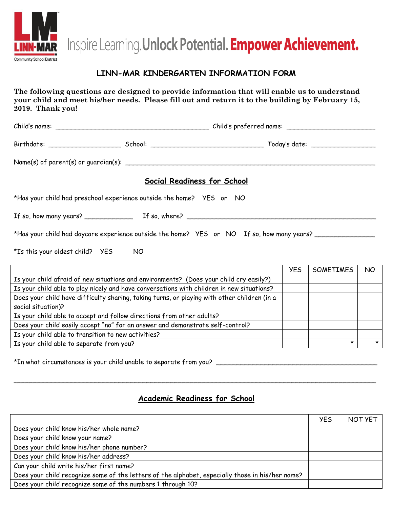

Inspire Learning. Unlock Potential. Empower Achievement.

## **LINN-MAR KINDERGARTEN INFORMATION FORM**

**The following questions are designed to provide information that will enable us to understand your child and meet his/her needs. Please fill out and return it to the building by February 15, 2019. Thank you!**

|                                                                                           |  | Social Readiness for School |            |                  |     |  |
|-------------------------------------------------------------------------------------------|--|-----------------------------|------------|------------------|-----|--|
| *Has your child had preschool experience outside the home?    YES or    NO                |  |                             |            |                  |     |  |
|                                                                                           |  |                             |            |                  |     |  |
| *Has your child had daycare experience outside the home? YES or NO If so, how many years? |  |                             |            |                  |     |  |
| *Is this your oldest child? YES NO                                                        |  |                             |            |                  |     |  |
|                                                                                           |  |                             | <b>YES</b> | <b>SOMETIMES</b> | NO. |  |
| Is your child afraid of new situations and environments? (Does your child cry easily?)    |  |                             |            |                  |     |  |
| Is your child able to play nicely and have conversations with children in new situations? |  |                             |            |                  |     |  |

Does your child have difficulty sharing, taking turns, or playing with other children (in a social situation)? Is your child able to accept and follow directions from other adults? Does your child easily accept "no" for an answer and demonstrate self-control? Is your child able to transition to new activities? Is your child able to separate from you?

\*In what circumstances is your child unable to separate from you?

## **Academic Readiness for School**

\_\_\_\_\_\_\_\_\_\_\_\_\_\_\_\_\_\_\_\_\_\_\_\_\_\_\_\_\_\_\_\_\_\_\_\_\_\_\_\_\_\_\_\_\_\_\_\_\_\_\_\_\_\_\_\_\_\_\_\_\_\_\_\_\_\_\_\_\_\_\_\_\_\_\_\_\_\_\_\_\_\_\_\_\_\_\_\_\_\_

|                                                                                                  | <b>YES</b> | NOT YET |
|--------------------------------------------------------------------------------------------------|------------|---------|
| Does your child know his/her whole name?                                                         |            |         |
| Does your child know your name?                                                                  |            |         |
| Does your child know his/her phone number?                                                       |            |         |
| Does your child know his/her address?                                                            |            |         |
| Can your child write his/her first name?                                                         |            |         |
| Does your child recognize some of the letters of the alphabet, especially those in his/her name? |            |         |
| Does your child recognize some of the numbers 1 through 10?                                      |            |         |